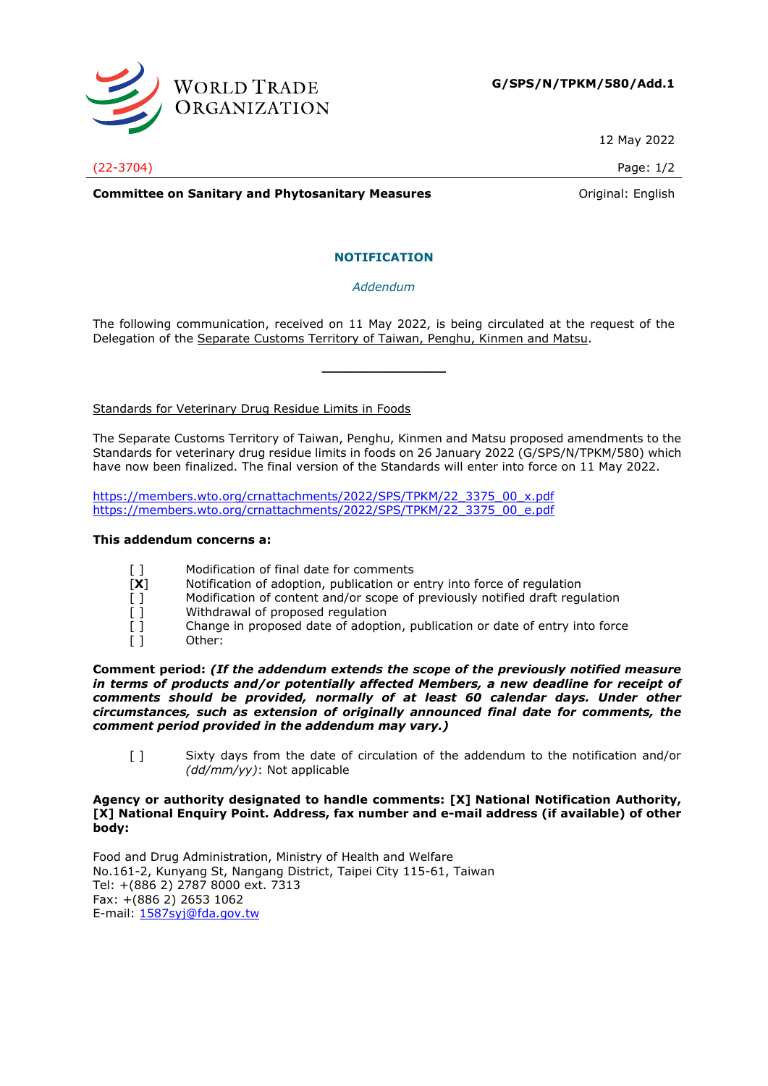

12 May 2022

(22-3704) Page: 1/2

**Committee on Sanitary and Phytosanitary Measures Committee on Sanitary and Phytosanitary Measures Committee And American** 

# **NOTIFICATION**

*Addendum*

The following communication, received on 11 May 2022, is being circulated at the request of the Delegation of the Separate Customs Territory of Taiwan, Penghu, Kinmen and Matsu.

**\_\_\_\_\_\_\_\_\_\_\_\_\_\_\_**

Standards for Veterinary Drug Residue Limits in Foods

The Separate Customs Territory of Taiwan, Penghu, Kinmen and Matsu proposed amendments to the Standards for veterinary drug residue limits in foods on 26 January 2022 (G/SPS/N/TPKM/580) which have now been finalized. The final version of the Standards will enter into force on 11 May 2022.

[https://members.wto.org/crnattachments/2022/SPS/TPKM/22\\_3375\\_00\\_x.pdf](https://members.wto.org/crnattachments/2022/SPS/TPKM/22_3375_00_x.pdf) [https://members.wto.org/crnattachments/2022/SPS/TPKM/22\\_3375\\_00\\_e.pdf](https://members.wto.org/crnattachments/2022/SPS/TPKM/22_3375_00_e.pdf)

## **This addendum concerns a:**

- [ ] Modification of final date for comments
- [**X**] Notification of adoption, publication or entry into force of regulation
- [ ] Modification of content and/or scope of previously notified draft regulation
- [ ] Withdrawal of proposed regulation
- [] Change in proposed date of adoption, publication or date of entry into force
- [ ] Other:

**Comment period:** *(If the addendum extends the scope of the previously notified measure*  in terms of products and/or potentially affected Members, a new deadline for receipt of *comments should be provided, normally of at least 60 calendar days. Under other circumstances, such as extension of originally announced final date for comments, the comment period provided in the addendum may vary.)*

[ ] Sixty days from the date of circulation of the addendum to the notification and/or *(dd/mm/yy)*: Not applicable

## **Agency or authority designated to handle comments: [X] National Notification Authority, [X] National Enquiry Point. Address, fax number and e-mail address (if available) of other body:**

Food and Drug Administration, Ministry of Health and Welfare No.161-2, Kunyang St, Nangang District, Taipei City 115-61, Taiwan Tel: +(886 2) 2787 8000 ext. 7313 Fax: +(886 2) 2653 1062 E-mail: [1587syj@fda.gov.tw](mailto:1587syj@fda.gov.tw)